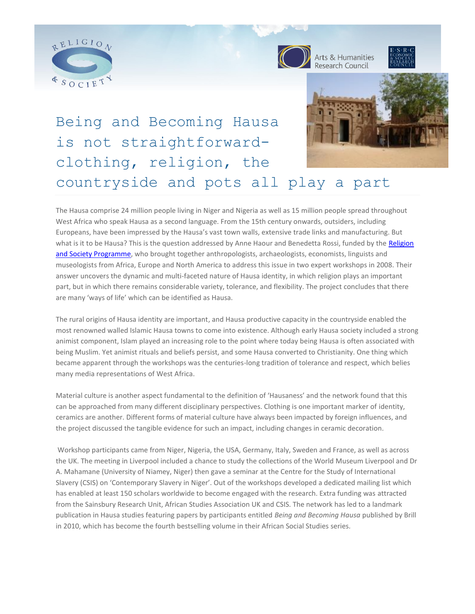



Arts & Humanities



# Being and Becoming Hausa is not straightforwardclothing, religion, the countryside and pots all play a part

The Hausa comprise 24 million people living in Niger and Nigeria as well as 15 million people spread throughout West Africa who speak Hausa as a second language. From the 15th century onwards, outsiders, including Europeans, have been impressed by the Hausa's vast town walls, extensive trade links and manufacturing. But what is it to be Hausa? This is the question addressed by Anne Haour and Benedetta Rossi, funded by the Religion [and Society Programme,](http://www.religionandsociety.org.uk/) who brought together anthropologists, archaeologists, economists, linguists and museologists from Africa, Europe and North America to address this issue in two expert workshops in 2008. Their answer uncovers the dynamic and multi-faceted nature of Hausa identity, in which religion plays an important part, but in which there remains considerable variety, tolerance, and flexibility. The project concludes that there are many 'ways of life' which can be identified as Hausa.

The rural origins of Hausa identity are important, and Hausa productive capacity in the countryside enabled the most renowned walled Islamic Hausa towns to come into existence. Although early Hausa society included a strong animist component, Islam played an increasing role to the point where today being Hausa is often associated with being Muslim. Yet animist rituals and beliefs persist, and some Hausa converted to Christianity. One thing which became apparent through the workshops was the centuries-long tradition of tolerance and respect, which belies many media representations of West Africa.

Material culture is another aspect fundamental to the definition of 'Hausaness' and the network found that this can be approached from many different disciplinary perspectives. Clothing is one important marker of identity, ceramics are another. Different forms of material culture have always been impacted by foreign influences, and the project discussed the tangible evidence for such an impact, including changes in ceramic decoration.

Workshop participants came from Niger, Nigeria, the USA, Germany, Italy, Sweden and France, as well as across the UK. The meeting in Liverpool included a chance to study the collections of the World Museum Liverpool and Dr A. Mahamane (University of Niamey, Niger) then gave a seminar at the Centre for the Study of International Slavery (CSIS) on 'Contemporary Slavery in Niger'. Out of the workshops developed a dedicated mailing list which has enabled at least 150 scholars worldwide to become engaged with the research. Extra funding was attracted from the Sainsbury Research Unit, African Studies Association UK and CSIS. The network has led to a landmark publication in Hausa studies featuring papers by participants entitled *Being and Becoming Hausa* published by Brill in 2010, which has become the fourth bestselling volume in their African Social Studies series.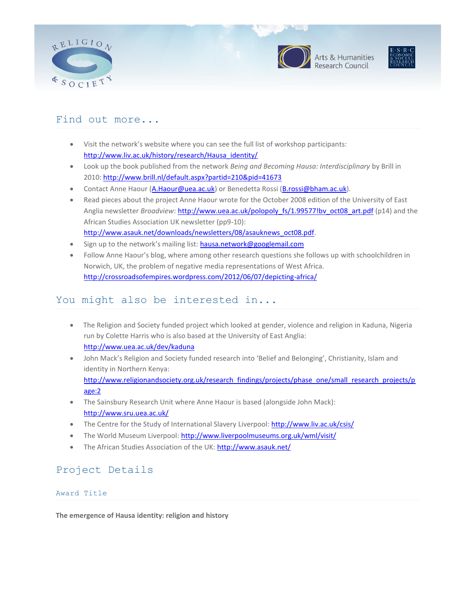





## Find out more...

- Visit the network's website where you can see the full list of workshop participants: [http://www.liv.ac.uk/history/research/Hausa\\_identity/](http://www.liv.ac.uk/history/research/Hausa_identity/)
- Look up the book published from the network *Being and Becoming Hausa: Interdisciplinary* by Brill in 2010:<http://www.brill.nl/default.aspx?partid=210&pid=41673>
- Contact Anne Haour [\(A.Haour@uea.ac.uk\)](mailto:A.Haour@uea.ac.uk) or Benedetta Rossi [\(B.rossi@bham.ac.uk\)](mailto:Benedetta.Rossi@liverpool.ac.uk).
- Read pieces about the project Anne Haour wrote for the October 2008 edition of the University of East Anglia newsletter *Broadview*: http://www.uea.ac.uk/polopoly fs/1.99577!bv\_oct08\_art.pdf (p14) and the African Studies Association UK newsletter (pp9-10): [http://www.asauk.net/downloads/newsletters/08/asauknews\\_oct08.pdf.](http://www.asauk.net/downloads/newsletters/08/asauknews_oct08.pdf)
- Sign up to the network's mailing list: [hausa.network@googlemail.com](mailto:hausa.network@googlemail.com)
- Follow Anne Haour's blog, where among other research questions she follows up with schoolchildren in Norwich, UK, the problem of negative media representations of West Africa. <http://crossroadsofempires.wordpress.com/2012/06/07/depicting-africa/>

## You might also be interested in...

- The Religion and Society funded project which looked at gender, violence and religion in Kaduna, Nigeria run by Colette Harris who is also based at the University of East Anglia: <http://www.uea.ac.uk/dev/kaduna>
- John Mack's Religion and Society funded research into 'Belief and Belonging', Christianity, Islam and identity in Northern Kenya: [http://www.religionandsociety.org.uk/research\\_findings/projects/phase\\_one/small\\_research\\_projects/p](http://www.religionandsociety.org.uk/research_findings/projects/phase_one/small_research_projects/page:2) [age:2](http://www.religionandsociety.org.uk/research_findings/projects/phase_one/small_research_projects/page:2)
- The Sainsbury Research Unit where Anne Haour is based (alongside John Mack): <http://www.sru.uea.ac.uk/>
- The Centre for the Study of International Slavery Liverpool:<http://www.liv.ac.uk/csis/>
- The World Museum Liverpool[: http://www.liverpoolmuseums.org.uk/wml/visit/](http://www.liverpoolmuseums.org.uk/wml/visit/)
- The African Studies Association of the UK:<http://www.asauk.net/>

## Project Details

## Award Title

**The emergence of Hausa identity: religion and history**